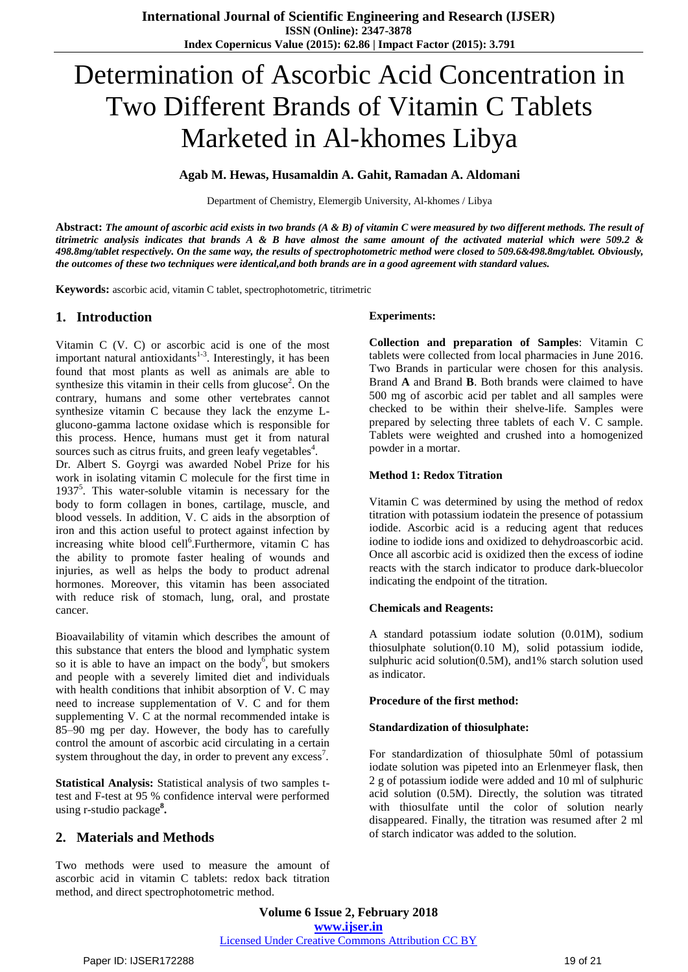# Determination of Ascorbic Acid Concentration in Two Different Brands of Vitamin C Tablets Marketed in Al-khomes Libya

#### **Agab M. Hewas, Husamaldin A. Gahit, Ramadan A. Aldomani**

Department of Chemistry, Elemergib University, Al-khomes / Libya

Abstract: The amount of ascorbic acid exists in two brands  $(A \& B)$  of vitamin C were measured by two different methods. The result of titrimetric analysis indicates that brands  $A \& B$  have almost the same amount of the activated material which were 509.2  $\&$ 498.8mg/tablet respectively. On the same way, the results of spectrophotometric method were closed to 509.6&498.8mg/tablet. Obviously, the outcomes of these two techniques were identical, and both brands are in a good agreement with standard values.

**Keywords:** ascorbic acid, vitamin C tablet, spectrophotometric, titrimetric

### **1. Introduction**

Vitamin C (V. C) or ascorbic acid is one of the most important natural antioxidants $1-3$ . Interestingly, it has been found that most plants as well as animals are able to synthesize this vitamin in their cells from glucose<sup>2</sup>. On the contrary, humans and some other vertebrates cannot synthesize vitamin C because they lack the enzyme Lglucono-gamma lactone oxidase which is responsible for this process. Hence, humans must get it from natural sources such as citrus fruits, and green leafy vegetables<sup>4</sup>.

Dr. Albert S. Goyrgi was awarded Nobel Prize for his work in isolating vitamin C molecule for the first time in 1937<sup>5</sup>. This water-soluble vitamin is necessary for the body to form collagen in bones, cartilage, muscle, and blood vessels. In addition, V. C aids in the absorption of iron and this action useful to protect against infection by increasing white blood cell<sup>6</sup>. Furthermore, vitamin C has the ability to promote faster healing of wounds and injuries, as well as helps the body to product adrenal hormones. Moreover, this vitamin has been associated with reduce risk of stomach, lung, oral, and prostate cancer.

Bioavailability of vitamin which describes the amount of this substance that enters the blood and lymphatic system so it is able to have an impact on the body<sup>6</sup>, but smokers and people with a severely limited diet and individuals with health conditions that inhibit absorption of V. C may need to increase supplementation of V. C and for them supplementing V. C at the normal recommended intake is 85–90 mg per day. However, the body has to carefully control the amount of ascorbic acid circulating in a certain system throughout the day, in order to prevent any excess<sup>7</sup>.

**Statistical Analysis:** Statistical analysis of two samples ttest and F-test at 95 % confidence interval were performed using r-studio package**<sup>8</sup> .**

# **2. Materials and Methods**

Two methods were used to measure the amount of ascorbic acid in vitamin C tablets: redox back titration method, and direct spectrophotometric method.

#### **Experiments:**

**Collection and preparation of Samples**: Vitamin C tablets were collected from local pharmacies in June 2016. Two Brands in particular were chosen for this analysis. Brand **A** and Brand **B**. Both brands were claimed to have 500 mg of ascorbic acid per tablet and all samples were checked to be within their shelve-life. Samples were prepared by selecting three tablets of each V. C sample. Tablets were weighted and crushed into a homogenized powder in a mortar.

#### **Method 1: Redox Titration**

Vitamin C was determined by using the method of redox titration with potassium iodatein the presence of potassium iodide. Ascorbic acid is a reducing agent that reduces iodine to iodide ions and oxidized to dehydroascorbic acid. Once all ascorbic acid is oxidized then the excess of iodine reacts with the starch indicator to produce dark-bluecolor indicating the endpoint of the titration.

#### **Chemicals and Reagents:**

A standard potassium iodate solution (0.01M), sodium thiosulphate solution(0.10 M), solid potassium iodide, sulphuric acid solution(0.5M), and1% starch solution used as indicator.

#### **Procedure of the first method:**

#### **Standardization of thiosulphate:**

For standardization of thiosulphate 50ml of potassium iodate solution was pipeted into an Erlenmeyer flask, then 2 g of potassium iodide were added and 10 ml of sulphuric acid solution (0.5M). Directly, the solution was titrated with thiosulfate until the color of solution nearly disappeared. Finally, the titration was resumed after 2 ml of starch indicator was added to the solution.

**Volume 6 Issue 2, February 2018 <www.ijser.in>** [Licensed Under Creative Commons Attribution CC BY](http://creativecommons.org/licenses/by/4.0/)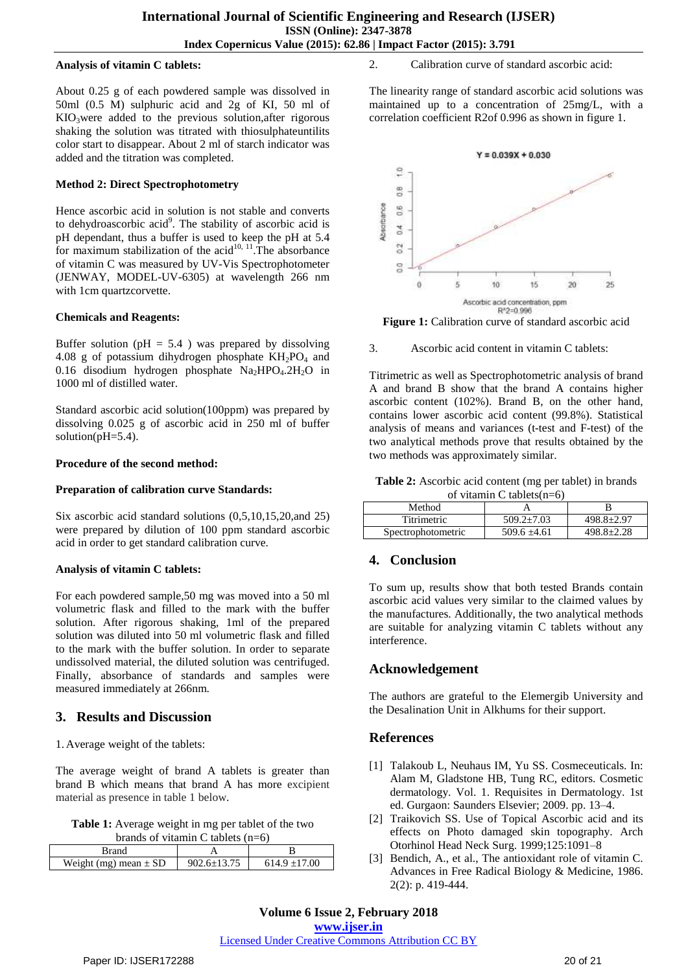#### **Analysis of vitamin C tablets:**

About 0.25 g of each powdered sample was dissolved in 50ml (0.5 M) sulphuric acid and 2g of KI, 50 ml of KIO3were added to the previous solution,after rigorous shaking the solution was titrated with thiosulphateuntilits color start to disappear. About 2 ml of starch indicator was added and the titration was completed.

#### **Method 2: Direct Spectrophotometry**

Hence ascorbic acid in solution is not stable and converts to dehydroascorbic acid<sup>9</sup>. The stability of ascorbic acid is pH dependant, thus a buffer is used to keep the pH at 5.4 for maximum stabilization of the acid<sup>10, 11</sup>. The absorbance of vitamin C was measured by UV-Vis Spectrophotometer (JENWAY, MODEL-UV-6305) at wavelength 266 nm with 1cm quartzcorvette.

#### **Chemicals and Reagents:**

Buffer solution ( $pH = 5.4$ ) was prepared by dissolving 4.08 g of potassium dihydrogen phosphate  $KH_2PO_4$  and 0.16 disodium hydrogen phosphate Na<sub>2</sub>HPO<sub>4</sub>.2H<sub>2</sub>O in 1000 ml of distilled water.

Standard ascorbic acid solution(100ppm) was prepared by dissolving 0.025 g of ascorbic acid in 250 ml of buffer solution( $pH=5.4$ ).

#### **Procedure of the second method:**

#### **Preparation of calibration curve Standards:**

Six ascorbic acid standard solutions (0,5,10,15,20,and 25) were prepared by dilution of 100 ppm standard ascorbic acid in order to get standard calibration curve.

#### **Analysis of vitamin C tablets:**

For each powdered sample,50 mg was moved into a 50 ml volumetric flask and filled to the mark with the buffer solution. After rigorous shaking, 1ml of the prepared solution was diluted into 50 ml volumetric flask and filled to the mark with the buffer solution. In order to separate undissolved material, the diluted solution was centrifuged. Finally, absorbance of standards and samples were measured immediately at 266nm.

#### **3. Results and Discussion**

1. Average weight of the tablets:

The average weight of brand A tablets is greater than brand B which means that brand A has more excipient material as presence in table 1 below.

**Table 1:** Average weight in mg per tablet of the two brands of vitamin C tablets (n=6)

| Weight (mg) mean $\pm$ SD | $9026+1375$ | $614.9 + 17.00$ |
|---------------------------|-------------|-----------------|

2. Calibration curve of standard ascorbic acid:

The linearity range of standard ascorbic acid solutions was maintained up to a concentration of 25mg/L, with a correlation coefficient R2of 0.996 as shown in figure 1.



**Figure 1:** Calibration curve of standard ascorbic acid

3. Ascorbic acid content in vitamin C tablets:

Titrimetric as well as Spectrophotometric analysis of brand A and brand B show that the brand A contains higher ascorbic content (102%). Brand B, on the other hand, contains lower ascorbic acid content (99.8%). Statistical analysis of means and variances (t-test and F-test) of the two analytical methods prove that results obtained by the two methods was approximately similar.

**Table 2:** Ascorbic acid content (mg per tablet) in brands of vitamin  $C$  tablets( $n=6$ )

| Method             |                  |                  |  |
|--------------------|------------------|------------------|--|
| Titrimetric        | $509.2 \pm 7.03$ | $498.8 \pm 2.97$ |  |
| Spectrophotometric | $509.6 \pm 4.61$ | $498.8 + 2.28$   |  |

# **4. Conclusion**

To sum up, results show that both tested Brands contain ascorbic acid values very similar to the claimed values by the manufactures. Additionally, the two analytical methods are suitable for analyzing vitamin C tablets without any interference.

# **Acknowledgement**

The authors are grateful to the Elemergib University and the Desalination Unit in Alkhums for their support.

# **References**

- [1] Talakoub L, Neuhaus IM, Yu SS. Cosmeceuticals. In: Alam M, Gladstone HB, Tung RC, editors. Cosmetic dermatology. Vol. 1. Requisites in Dermatology. 1st ed. Gurgaon: Saunders Elsevier; 2009. pp. 13–4.
- [2] Traikovich SS. Use of Topical Ascorbic acid and its effects on Photo damaged skin topography. Arch Otorhinol Head Neck Surg. 1999;125:1091–8
- [3] Bendich, A., et al., The antioxidant role of vitamin C. Advances in Free Radical Biology & Medicine, 1986. 2(2): p. 419-444.

**Volume 6 Issue 2, February 2018 <www.ijser.in>**

[Licensed Under Creative Commons Attribution CC BY](http://creativecommons.org/licenses/by/4.0/)